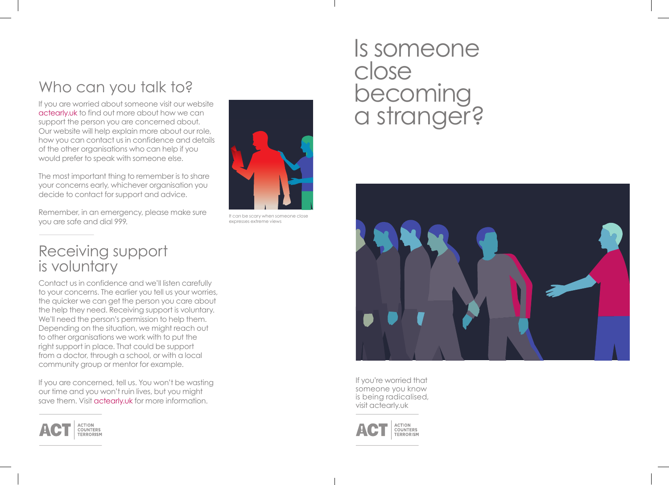## Who can you talk to?

If you are worried about someone visit our website actearly.uk to find out more about how we can support the person you are concerned about. Our website will help explain more about our role, how you can contact us in confidence and details of the other organisations who can help if you would prefer to speak with someone else.

The most important thing to remember is to share your concerns early, whichever organisation you decide to contact for support and advice.

Remember, in an emergency, please make sure you are safe and dial 999.



It can be scary when someone close expresses extreme views

#### Receiving support is voluntary

Contact us in confidence and we'll listen carefully to your concerns. The earlier you tell us your worries, the quicker we can get the person you care about the help they need. Receiving support is voluntary. We'll need the person's permission to help them. Depending on the situation, we might reach out to other organisations we work with to put the right support in place. That could be support from a doctor, through a school, or with a local community group or mentor for example.

If you are concerned, tell us. You won't be wasting our time and you won't ruin lives, but you might save them. Visit actearly.uk for more information.



# Is someone close becoming a stranger?



If you're worried that someone you know is being radicalised, visit actearly.uk